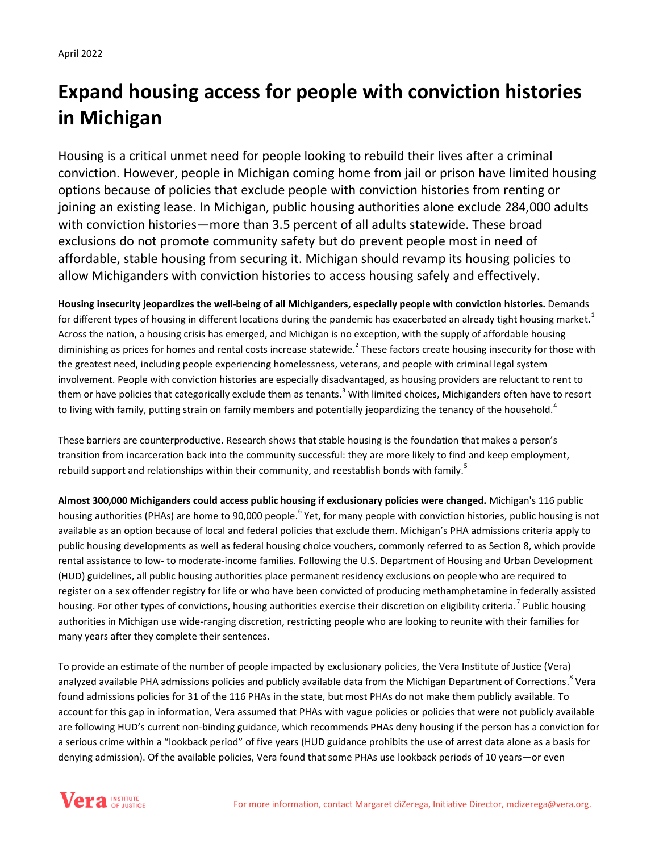# **Expand housing access for people with conviction histories in Michigan**

Housing is a critical unmet need for people looking to rebuild their lives after a criminal conviction. However, people in Michigan coming home from jail or prison have limited housing options because of policies that exclude people with conviction histories from renting or joining an existing lease. In Michigan, public housing authorities alone exclude 284,000 adults with conviction histories—more than 3.5 percent of all adults statewide. These broad exclusions do not promote community safety but do prevent people most in need of affordable, stable housing from securing it. Michigan should revamp its housing policies to allow Michiganders with conviction histories to access housing safely and effectively.

**Housing insecurity jeopardizes the well-being of all Michiganders, especially people with conviction histories.** Demands for different types of housing in different locations during the pandemic has exacerbated an already tight housing market.<sup>1</sup> Across the nation, a housing crisis has emerged, and Michigan is no exception, with the supply of affordable housing diminishing as prices for homes and rental costs increase statewide.<sup>2</sup> These factors create housing insecurity for those with the greatest need, including people experiencing homelessness, veterans, and people with criminal legal system involvement. People with conviction histories are especially disadvantaged, as housing providers are reluctant to rent to them or have policies that categorically exclude them as tenants.<sup>3</sup> With limited choices, Michiganders often have to resort to living with family, putting strain on family members and potentially jeopardizing the tenancy of the household.<sup>4</sup>

These barriers are counterproductive. Research shows that stable housing is the foundation that makes a person's transition from incarceration back into the community successful: they are more likely to find and keep employment, rebuild support and relationships within their community, and reestablish bonds with family.<sup>5</sup>

**Almost 300,000 Michiganders could access public housing if exclusionary policies were changed.** Michigan's 116 public housing authorities (PHAs) are home to 90,000 people.<sup>6</sup> Yet, for many people with conviction histories, public housing is not available as an option because of local and federal policies that exclude them. Michigan's PHA admissions criteria apply to public housing developments as well as federal housing choice vouchers, commonly referred to as Section 8, which provide rental assistance to low- to moderate-income families. Following the U.S. Department of Housing and Urban Development (HUD) guidelines, all public housing authorities place permanent residency exclusions on people who are required to register on a sex offender registry for life or who have been convicted of producing methamphetamine in federally assisted housing. For other types of convictions, housing authorities exercise their discretion on eligibility criteria.<sup>7</sup> Public housing authorities in Michigan use wide-ranging discretion, restricting people who are looking to reunite with their families for many years after they complete their sentences.

To provide an estimate of the number of people impacted by exclusionary policies, the Vera Institute of Justice (Vera) analyzed available PHA admissions policies and publicly available data from the Michigan Department of Corrections.<sup>8</sup> Vera found admissions policies for 31 of the 116 PHAs in the state, but most PHAs do not make them publicly available. To account for this gap in information, Vera assumed that PHAs with vague policies or policies that were not publicly available are following HUD's current non-binding guidance, which recommends PHAs deny housing if the person has a conviction for a serious crime within a "lookback period" of five years (HUD guidance prohibits the use of arrest data alone as a basis for denying admission). Of the available policies, Vera found that some PHAs use lookback periods of 10 years—or even

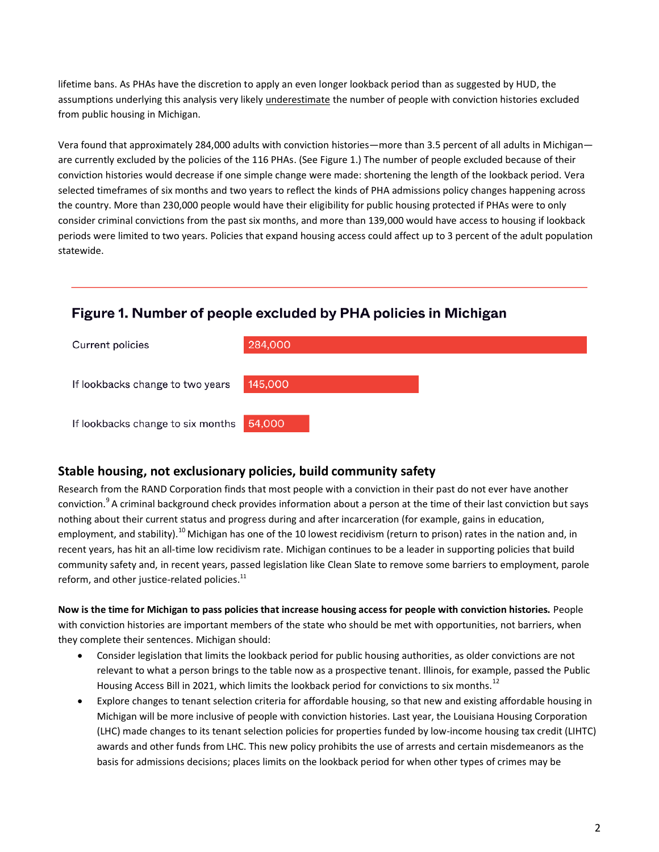lifetime bans. As PHAs have the discretion to apply an even longer lookback period than as suggested by HUD, the assumptions underlying this analysis very likely *underestimate* the number of people with conviction histories excluded from public housing in Michigan.

Vera found that approximately 284,000 adults with conviction histories—more than 3.5 percent of all adults in Michigan are currently excluded by the policies of the 116 PHAs. (See Figure 1.) The number of people excluded because of their conviction histories would decrease if one simple change were made: shortening the length of the lookback period. Vera selected timeframes of six months and two years to reflect the kinds of PHA admissions policy changes happening across the country. More than 230,000 people would have their eligibility for public housing protected if PHAs were to only consider criminal convictions from the past six months, and more than 139,000 would have access to housing if lookback periods were limited to two years. Policies that expand housing access could affect up to 3 percent of the adult population statewide.

## Figure 1. Number of people excluded by PHA policies in Michigan



### **Stable housing, not exclusionary policies, build community safety**

Research from the RAND Corporation finds that most people with a conviction in their past do not ever have another conviction.<sup>9</sup> A criminal background check provides information about a person at the time of their last conviction but says nothing about their current status and progress during and after incarceration (for example, gains in education, employment, and stability).<sup>10</sup> Michigan has one of the 10 lowest recidivism (return to prison) rates in the nation and, in recent years, has hit an all-time low recidivism rate. Michigan continues to be a leader in supporting policies that build community safety and, in recent years, passed legislation like Clean Slate to remove some barriers to employment, parole reform, and other justice-related policies.<sup>11</sup>

**Now is the time for Michigan to pass policies that increase housing access for people with conviction histories.** People with conviction histories are important members of the state who should be met with opportunities, not barriers, when they complete their sentences. Michigan should:

- Consider legislation that limits the lookback period for public housing authorities, as older convictions are not relevant to what a person brings to the table now as a prospective tenant. Illinois, for example, passed the Public Housing Access Bill in 2021, which limits the lookback period for convictions to six months.<sup>12</sup>
- Explore changes to tenant selection criteria for affordable housing, so that new and existing affordable housing in Michigan will be more inclusive of people with conviction histories. Last year, the Louisiana Housing Corporation (LHC) made changes to its tenant selection policies for properties funded by low-income housing tax credit (LIHTC) awards and other funds from LHC. This new policy prohibits the use of arrests and certain misdemeanors as the basis for admissions decisions; places limits on the lookback period for when other types of crimes may be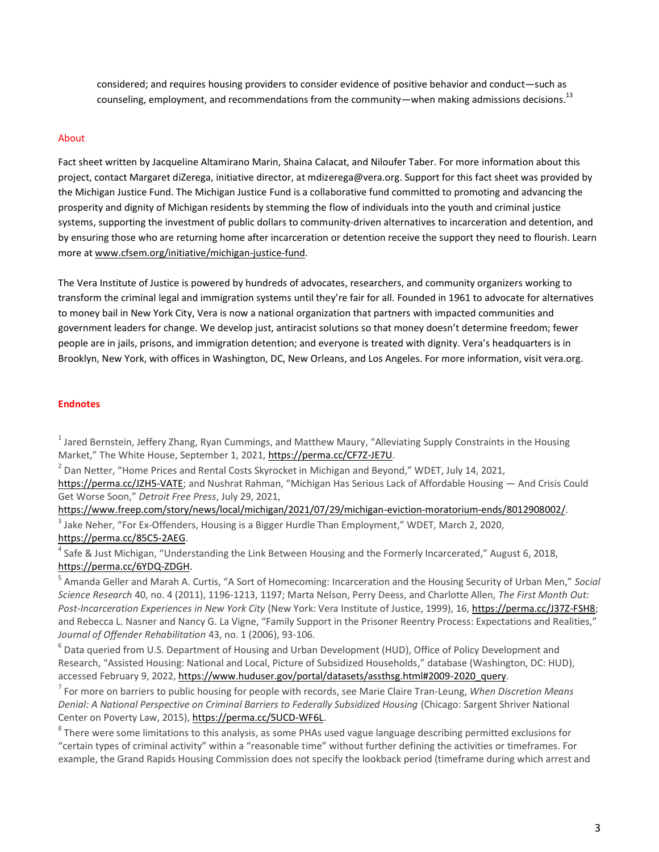considered; and requires housing providers to consider evidence of positive behavior and conduct—such as counseling, employment, and recommendations from the community—when making admissions decisions.<sup>13</sup>

#### About

Fact sheet written by Jacqueline Altamirano Marin, Shaina Calacat, and Niloufer Taber. For more information about this project, contact Margaret diZerega, initiative director, at mdizerega@vera.org. Support for this fact sheet was provided by the Michigan Justice Fund. The Michigan Justice Fund is a collaborative fund committed to promoting and advancing the prosperity and dignity of Michigan residents by stemming the flow of individuals into the youth and criminal justice systems, supporting the investment of public dollars to community-driven alternatives to incarceration and detention, and by ensuring those who are returning home after incarceration or detention receive the support they need to flourish. Learn more a[t www.cfsem.org/initiative/michigan-justice-fund.](http://www.cfsem.org/initiative/michigan-justice-fund)

The Vera Institute of Justice is powered by hundreds of advocates, researchers, and community organizers working to transform the criminal legal and immigration systems until they're fair for all. Founded in 1961 to advocate for alternatives to money bail in New York City, Vera is now a national organization that partners with impacted communities and government leaders for change. We develop just, antiracist solutions so that money doesn't determine freedom; fewer people are in jails, prisons, and immigration detention; and everyone is treated with dignity. Vera's headquarters is in Brooklyn, New York, with offices in Washington, DC, New Orleans, and Los Angeles. For more information, visit vera.org.

#### **Endnotes**

<sup>1</sup> Jared Bernstein, Jeffery Zhang, Ryan Cummings, and Matthew Maury, "Alleviating Supply Constraints in the Housing Market," The White House, September 1, 2021, [https://perma.cc/CF7Z-JE7U.](https://perma.cc/CF7Z-JE7U)

 $^2$  Dan Netter, "Home Prices and Rental Costs Skyrocket in Michigan and Beyond," WDET, July 14, 2021, [https://perma.cc/JZH5-VATE;](https://perma.cc/JZH5-VATE) and Nushrat Rahman, "Michigan Has Serious Lack of Affordable Housing — And Crisis Could Get Worse Soon," *Detroit Free Press*, July 29, 2021,

[https://www.freep.com/story/news/local/michigan/2021/07/29/michigan-eviction-moratorium-ends/8012908002/.](https://www.freep.com/story/news/local/michigan/2021/07/29/michigan-eviction-moratorium-ends/8012908002/)   $^3$  Jake Neher, "For Ex-Offenders, Housing is a Bigger Hurdle Than Employment," WDET, March 2, 2020,

#### [https://perma.cc/85C5-2AEG.](https://perma.cc/85C5-2AEG)

<sup>4</sup> Safe & Just Michigan, "Understanding the Link Between Housing and the Formerly Incarcerated," August 6, 2018, [https://perma.cc/6YDQ-ZDGH.](https://perma.cc/6YDQ-ZDGH)

5 Amanda Geller and Marah A. Curtis, "A Sort of Homecoming: Incarceration and the Housing Security of Urban Men," *Social Science Research* 40, no. 4 (2011), 1196-1213, 1197; Marta Nelson, Perry Deess, and Charlotte Allen, *The First Month Out: Post-Incarceration Experiences in New York City* (New York: Vera Institute of Justice, 1999), 16, [https://perma.cc/J37Z-FSH8;](https://perma.cc/J37Z-FSH8)  and Rebecca L. Nasner and Nancy G. La Vigne, "Family Support in the Prisoner Reentry Process: Expectations and Realities," *Journal of Offender Rehabilitation* 43, no. 1 (2006), 93-106.

<sup>6</sup> Data queried from U.S. Department of Housing and Urban Development (HUD), Office of Policy Development and Research, "Assisted Housing: National and Local, Picture of Subsidized Households," database (Washington, DC: HUD), accessed February 9, 2022, [https://www.huduser.gov/portal/datasets/assthsg.html#2009-2020\\_query.](https://www.huduser.gov/portal/datasets/assthsg.html#2009-2020_query)

7 For more on barriers to public housing for people with records, see Marie Claire Tran-Leung, *When Discretion Means Denial: A National Perspective on Criminal Barriers to Federally Subsidized Housing* (Chicago: Sargent Shriver National Center on Poverty Law, 2015), [https://perma.cc/5UCD-WF6L.](https://perma.cc/5UCD-WF6L)

 $^8$  There were some limitations to this analysis, as some PHAs used vague language describing permitted exclusions for "certain types of criminal activity" within a "reasonable time" without further defining the activities or timeframes. For example, the Grand Rapids Housing Commission does not specify the lookback period (timeframe during which arrest and